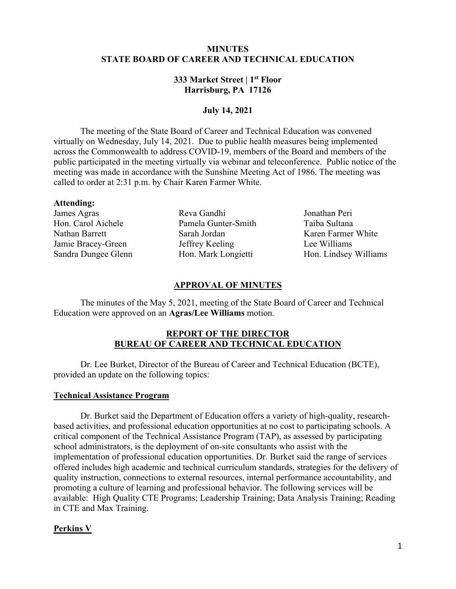# **MINUTES STATE BOARD OF CAREER AND TECHNICAL EDUCATION**

# **333 Market Street | 1st Floor Harrisburg, PA 17126**

## **July 14, 2021**

 The meeting of the State Board of Career and Technical Education was convened public participated in the meeting virtually via webinar and teleconference. Public notice of the called to order at 2:31 p.m. by Chair Karen Farmer White. virtually on Wednesday, July 14, 2021. Due to public health measures being implemented across the Commonwealth to address COVID-19, members of the Board and members of the meeting was made in accordance with the Sunshine Meeting Act of 1986. The meeting was

#### **Attending:**

James Agras Reva Gandhi Jonathan Peri Hon. Carol Aichele Pamela Gunter-Smith Taiba Sultana Nathan Barrett Sarah Jordan Karen Farmer White Jamie Bracey-Green Jeffrey Keeling Lee Williams

Sandra Dungee Glenn Hon. Mark Longietti Hon. Lindsey Williams

#### **APPROVAL OF MINUTES**

 Education were approved on an **Agras/Lee Williams** motion. The minutes of the May 5, 2021, meeting of the State Board of Career and Technical

## **REPORT OF THE DIRECTOR BUREAU OF CAREER AND TECHNICAL EDUCATION**

Dr. Lee Burket, Director of the Bureau of Career and Technical Education (BCTE), provided an update on the following topics:

## **Technical Assistance Program**

 promoting a culture of learning and professional behavior. The following services will be Dr. Burket said the Department of Education offers a variety of high-quality, researchbased activities, and professional education opportunities at no cost to participating schools. A critical component of the Technical Assistance Program (TAP), as assessed by participating school administrators, is the deployment of on-site consultants who assist with the implementation of professional education opportunities. Dr. Burket said the range of services offered includes high academic and technical curriculum standards, strategies for the delivery of quality instruction, connections to external resources, internal performance accountability, and available: High Quality CTE Programs; Leadership Training; Data Analysis Training; Reading in CTE and Max Training.

## **Perkins V**